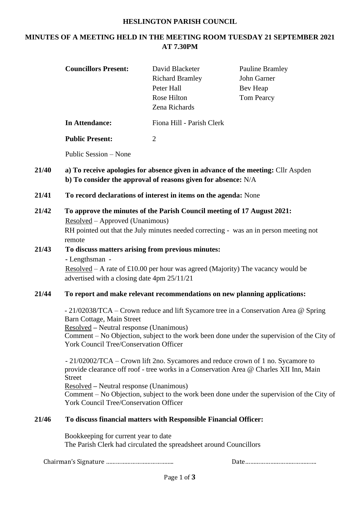## **HESLINGTON PARISH COUNCIL**

# **MINUTES OF A MEETING HELD IN THE MEETING ROOM TUESDAY 21 SEPTEMBER 2021 AT 7.30PM**

|       | <b>Councillors Present:</b>                                                                                                                                                                                                                                                                                 | David Blacketer<br><b>Richard Bramley</b><br>Peter Hall<br>Rose Hilton<br>Zena Richards | <b>Pauline Bramley</b><br>John Garner<br>Bev Heap<br><b>Tom Pearcy</b>                                                                                                                                                                                                   |  |  |
|-------|-------------------------------------------------------------------------------------------------------------------------------------------------------------------------------------------------------------------------------------------------------------------------------------------------------------|-----------------------------------------------------------------------------------------|--------------------------------------------------------------------------------------------------------------------------------------------------------------------------------------------------------------------------------------------------------------------------|--|--|
|       | <b>In Attendance:</b>                                                                                                                                                                                                                                                                                       | Fiona Hill - Parish Clerk                                                               |                                                                                                                                                                                                                                                                          |  |  |
|       | <b>Public Present:</b>                                                                                                                                                                                                                                                                                      | $\overline{2}$                                                                          |                                                                                                                                                                                                                                                                          |  |  |
|       | Public Session – None                                                                                                                                                                                                                                                                                       |                                                                                         |                                                                                                                                                                                                                                                                          |  |  |
| 21/40 | a) To receive apologies for absence given in advance of the meeting: Cllr Aspden<br>b) To consider the approval of reasons given for absence: N/A                                                                                                                                                           |                                                                                         |                                                                                                                                                                                                                                                                          |  |  |
| 21/41 | To record declarations of interest in items on the agenda: None                                                                                                                                                                                                                                             |                                                                                         |                                                                                                                                                                                                                                                                          |  |  |
| 21/42 | To approve the minutes of the Parish Council meeting of 17 August 2021:<br>Resolved – Approved (Unanimous)<br>RH pointed out that the July minutes needed correcting - was an in person meeting not<br>remote                                                                                               |                                                                                         |                                                                                                                                                                                                                                                                          |  |  |
| 21/43 | To discuss matters arising from previous minutes:<br>- Lengthsman -<br><u>Resolved</u> – A rate of £10.00 per hour was agreed (Majority) The vacancy would be<br>advertised with a closing date 4pm 25/11/21                                                                                                |                                                                                         |                                                                                                                                                                                                                                                                          |  |  |
| 21/44 | To report and make relevant recommendations on new planning applications:                                                                                                                                                                                                                                   |                                                                                         |                                                                                                                                                                                                                                                                          |  |  |
|       | - 21/02038/TCA – Crown reduce and lift Sycamore tree in a Conservation Area @ Spring<br>Barn Cottage, Main Street<br>Resolved - Neutral response (Unanimous)<br>Comment – No Objection, subject to the work been done under the supervision of the City of<br><b>York Council Tree/Conservation Officer</b> |                                                                                         |                                                                                                                                                                                                                                                                          |  |  |
|       | <b>Street</b><br><b>Resolved</b> – Neutral response (Unanimous)<br><b>York Council Tree/Conservation Officer</b>                                                                                                                                                                                            |                                                                                         | - 21/02002/TCA – Crown lift 2no. Sycamores and reduce crown of 1 no. Sycamore to<br>provide clearance off roof - tree works in a Conservation Area @ Charles XII Inn, Main<br>Comment – No Objection, subject to the work been done under the supervision of the City of |  |  |
| 21/46 | To discuss financial matters with Responsible Financial Officer:                                                                                                                                                                                                                                            |                                                                                         |                                                                                                                                                                                                                                                                          |  |  |

Bookkeeping for current year to date The Parish Clerk had circulated the spreadsheet around Councillors

Chairman's Signature ………………………………….. Date…………………………………….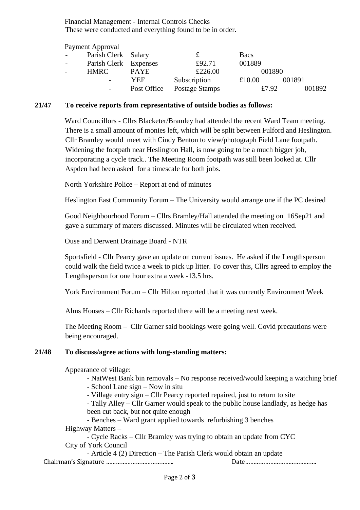Financial Management - Internal Controls Checks These were conducted and everything found to be in order.

Payment Approval

|                 | r a yment i rpprovai  |             |                |             |        |
|-----------------|-----------------------|-------------|----------------|-------------|--------|
| $\sim$          | Parish Clerk Salary   |             |                | <b>Bacs</b> |        |
| $\sim 10^{-11}$ | Parish Clerk Expenses |             | £92.71         | 001889      |        |
|                 | <b>HMRC</b>           | <b>PAYE</b> | £226.00        | 001890      |        |
|                 |                       | YEF         | Subscription   | £10.00      | 001891 |
|                 |                       | Post Office | Postage Stamps | £7.92       | 001892 |
|                 |                       |             |                |             |        |

### **21/47 To receive reports from representative of outside bodies as follows:**

Ward Councillors - Cllrs Blacketer/Bramley had attended the recent Ward Team meeting. There is a small amount of monies left, which will be split between Fulford and Heslington. Cllr Bramley would meet with Cindy Benton to view/photograph Field Lane footpath. Widening the footpath near Heslington Hall, is now going to be a much bigger job, incorporating a cycle track.. The Meeting Room footpath was still been looked at. Cllr Aspden had been asked for a timescale for both jobs.

North Yorkshire Police – Report at end of minutes

Heslington East Community Forum – The University would arrange one if the PC desired

Good Neighbourhood Forum – Cllrs Bramley/Hall attended the meeting on 16Sep21 and gave a summary of maters discussed. Minutes will be circulated when received.

Ouse and Derwent Drainage Board - NTR

Sportsfield - Cllr Pearcy gave an update on current issues. He asked if the Lengthsperson could walk the field twice a week to pick up litter. To cover this, Cllrs agreed to employ the Lengthsperson for one hour extra a week -13.5 hrs.

York Environment Forum – Cllr Hilton reported that it was currently Environment Week

Alms Houses – Cllr Richards reported there will be a meeting next week.

The Meeting Room – Cllr Garner said bookings were going well. Covid precautions were being encouraged.

#### **21/48 To discuss/agree actions with long-standing matters:**

Appearance of village:

- NatWest Bank bin removals – No response received/would keeping a watching brief

- School Lane sign – Now in situ

- Village entry sign – Cllr Pearcy reported repaired, just to return to site

- Tally Alley – Cllr Garner would speak to the public house landlady, as hedge has been cut back, but not quite enough

- Benches – Ward grant applied towards refurbishing 3 benches Highway Matters –

- Cycle Racks – Cllr Bramley was trying to obtain an update from CYC City of York Council

Chairman's Signature ………………………………….. Date……………………………………. - Article 4 (2) Direction – The Parish Clerk would obtain an update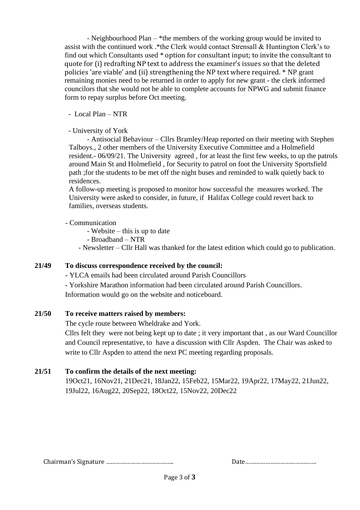- Neighbourhood Plan – \*the members of the working group would be invited to assist with the continued work .\*the Clerk would contact Strensall & Huntington Clerk's to find out which Consultants used \* option for consultant input; to invite the consultant to quote for (i) redrafting NP text to address the examiner's issues so that the deleted policies 'are viable' and (ii) strengthening the NP text where required. \* NP grant remaining monies need to be returned in order to apply for new grant - the clerk informed councilors that she would not be able to complete accounts for NPWG and submit finance form to repay surplus before Oct meeting.

# - Local Plan – NTR

### - University of York

- Antisocial Behaviour – Cllrs Bramley/Heap reported on their meeting with Stephen Talboys., 2 other members of the University Executive Committee and a Holmefield resident.- 06/09/21. The University agreed , for at least the first few weeks, to up the patrols around Main St and Holmefield , for Security to patrol on foot the University Sportsfield path ;for the students to be met off the night buses and reminded to walk quietly back to residences.

A follow-up meeting is proposed to monitor how successful the measures worked. The University were asked to consider, in future, if Halifax College could revert back to families, overseas students.

### - Communication

- Website – this is up to date

- Broadband – NTR

- Newsletter – Cllr Hall was thanked for the latest edition which could go to publication.

# **21/49 To discuss correspondence received by the council:**

- YLCA emails had been circulated around Parish Councillors

- Yorkshire Marathon information had been circulated around Parish Councillors. Information would go on the website and noticeboard.

#### **21/50 To receive matters raised by members:**

The cycle route between Wheldrake and York.

Cllrs felt they were not being kept up to date ; it very important that , as our Ward Councillor and Council representative, to have a discussion with Cllr Aspden. The Chair was asked to write to Cllr Aspden to attend the next PC meeting regarding proposals.

# **21/51 To confirm the details of the next meeting:**

19Oct21, 16Nov21, 21Dec21, 18Jan22, 15Feb22, 15Mar22, 19Apr22, 17May22, 21Jun22, 19Jul22, 16Aug22, 20Sep22, 18Oct22, 15Nov22, 20Dec22